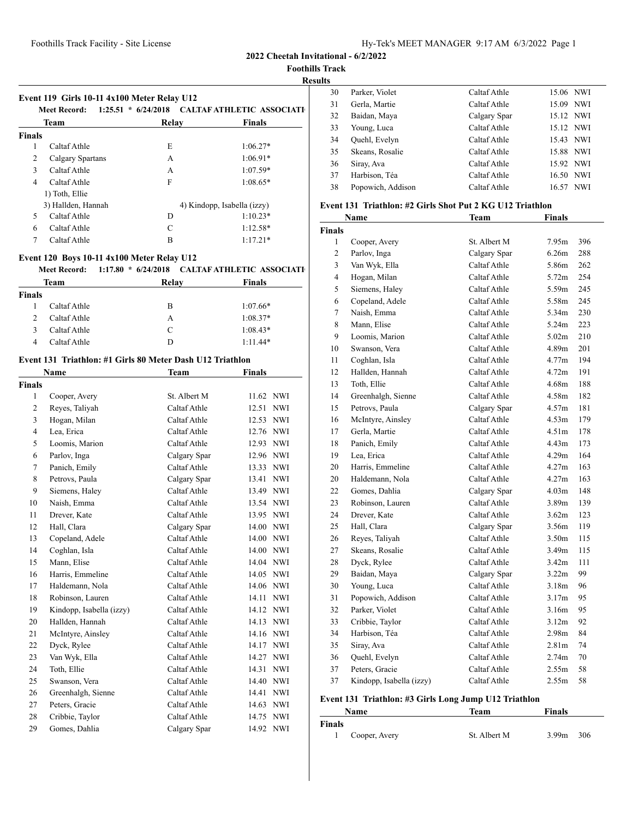**2022 Cheetah Invitational - 6/2/2022**

**Foothills Track**

# **Results**

|               | Event 119 Girls 10-11 4x100 Meter Relay U12<br>Meet Record: |       | $-1:25.51$ * 6/24/2018 CALTAF ATHLETIC ASSOCIATI |
|---------------|-------------------------------------------------------------|-------|--------------------------------------------------|
|               | Team                                                        | Relay | <b>Finals</b>                                    |
| <b>Finals</b> |                                                             |       |                                                  |
| 1             | Caltaf Athle                                                | E     | $1:06.27*$                                       |
| 2             | Calgary Spartans                                            | A     | $1:06.91*$                                       |
| $\mathbf{3}$  | Caltaf Athle                                                | A     | $1:07.59*$                                       |
| 4             | Caltaf Athle                                                | F     | $1:08.65*$                                       |
|               | 1) Toth, Ellie                                              |       |                                                  |
|               | 3) Hallden, Hannah                                          |       | 4) Kindopp, Isabella (izzy)                      |
| 5             | Caltaf Athle                                                | D     | $1:10.23*$                                       |
| 6             | Caltaf Athle                                                | C     | $1:12.58*$                                       |
|               | Caltaf Athle                                                | B     | $1:17.21*$                                       |

## **Event 120 Boys 10-11 4x100 Meter Relay U12**

|               | Meet Record: | 1:17.80 * 6/24/2018 CALTAF ATHLETIC ASSOCIATI |               |
|---------------|--------------|-----------------------------------------------|---------------|
|               | Team         | Relay                                         | <b>Finals</b> |
| <b>Finals</b> |              |                                               |               |
|               | Caltaf Athle | в                                             | $1:07.66*$    |
|               | Caltaf Athle | А                                             | $1:08.37*$    |
|               | Caltaf Athle | $\mathcal{C}$                                 | $1:08.43*$    |
|               | Caltaf Athle |                                               | $1:11.44*$    |

## **Event 131 Triathlon: #1 Girls 80 Meter Dash U12 Triathlon**

|        | <b>Name</b>              | <b>Team</b>  | Finals              |
|--------|--------------------------|--------------|---------------------|
| Finals |                          |              |                     |
| 1      | Cooper, Avery            | St. Albert M | 11.62 NWI           |
| 2      | Reyes, Taliyah           | Caltaf Athle | 12.51<br><b>NWI</b> |
| 3      | Hogan, Milan             | Caltaf Athle | 12.53<br><b>NWI</b> |
| 4      | Lea, Erica               | Caltaf Athle | 12.76 NWI           |
| 5      | Loomis, Marion           | Caltaf Athle | 12.93 NWI           |
| 6      | Parlov, Inga             | Calgary Spar | 12.96 NWI           |
| 7      | Panich, Emily            | Caltaf Athle | 13.33 NWI           |
| 8      | Petrovs, Paula           | Calgary Spar | <b>NWI</b><br>13.41 |
| 9      | Siemens, Haley           | Caltaf Athle | 13.49 NWI           |
| 10     | Naish, Emma              | Caltaf Athle | 13.54 NWI           |
| 11     | Drever, Kate             | Caltaf Athle | 13.95 NWI           |
| 12     | Hall, Clara              | Calgary Spar | 14.00 NWI           |
| 13     | Copeland, Adele          | Caltaf Athle | 14.00<br><b>NWI</b> |
| 14     | Coghlan, Isla            | Caltaf Athle | 14.00 NWI           |
| 15     | Mann, Elise              | Caltaf Athle | 14.04 NWI           |
| 16     | Harris, Emmeline         | Caltaf Athle | 14.05 NWI           |
| 17     | Haldemann, Nola          | Caltaf Athle | 14.06 NWI           |
| 18     | Robinson, Lauren         | Caltaf Athle | 14.11<br><b>NWI</b> |
| 19     | Kindopp, Isabella (izzy) | Caltaf Athle | 14.12 NWI           |
| 20     | Hallden, Hannah          | Caltaf Athle | 14.13 NWI           |
| 21     | McIntyre, Ainsley        | Caltaf Athle | 14.16 NWI           |
| 22     | Dyck, Rylee              | Caltaf Athle | 14.17<br><b>NWI</b> |
| 23     | Van Wyk, Ella            | Caltaf Athle | 14.27 NWI           |
| 24     | Toth, Ellie              | Caltaf Athle | 14.31 NWI           |
| 25     | Swanson, Vera            | Caltaf Athle | 14.40 NWI           |
| 26     | Greenhalgh, Sienne       | Caltaf Athle | <b>NWI</b><br>14.41 |
| 27     | Peters, Gracie           | Caltaf Athle | 14.63 NWI           |
| 28     | Cribbie, Taylor          | Caltaf Athle | 14.75 NWI           |
| 29     | Gomes, Dahlia            | Calgary Spar | 14.92 NWI           |

| 30 | Parker, Violet    | Caltaf Athle | 15.06 NWI           |
|----|-------------------|--------------|---------------------|
| 31 | Gerla, Martie     | Caltaf Athle | 15.09 NWI           |
| 32 | Baidan, Maya      | Calgary Spar | 15.12 NWI           |
| 33 | Young, Luca       | Caltaf Athle | 15.12 NWI           |
| 34 | Quehl, Evelyn     | Caltaf Athle | 15.43 NWI           |
| 35 | Skeans, Rosalie   | Caltaf Athle | 15.88 NWI           |
| 36 | Siray, Ava        | Caltaf Athle | 15.92 NWI           |
| 37 | Harbison, Téa     | Caltaf Athle | 16.50 NWI           |
| 38 | Popowich, Addison | Caltaf Athle | <b>NWI</b><br>16.57 |
|    |                   |              |                     |

# **Event 131 Triathlon: #2 Girls Shot Put 2 KG U12 Triathlon**

|                | Name                     | <b>Team</b>  | <b>Finals</b>     |     |
|----------------|--------------------------|--------------|-------------------|-----|
| <b>Finals</b>  |                          |              |                   |     |
| 1              | Cooper, Avery            | St. Albert M | 7.95m             | 396 |
| 2              | Parlov, Inga             | Calgary Spar | 6.26m             | 288 |
| 3              | Van Wyk, Ella            | Caltaf Athle | 5.86m             | 262 |
| $\overline{4}$ | Hogan, Milan             | Caltaf Athle | 5.72 <sub>m</sub> | 254 |
| 5              | Siemens, Haley           | Caltaf Athle | 5.59m             | 245 |
| 6              | Copeland, Adele          | Caltaf Athle | 5.58m             | 245 |
| 7              | Naish, Emma              | Caltaf Athle | 5.34m             | 230 |
| 8              | Mann, Elise              | Caltaf Athle | 5.24m             | 223 |
| 9              | Loomis, Marion           | Caltaf Athle | 5.02 <sub>m</sub> | 210 |
| 10             | Swanson, Vera            | Caltaf Athle | 4.89m             | 201 |
| 11             | Coghlan, Isla            | Caltaf Athle | 4.77m             | 194 |
| 12             | Hallden, Hannah          | Caltaf Athle | 4.72m             | 191 |
| 13             | Toth, Ellie              | Caltaf Athle | 4.68m             | 188 |
| 14             | Greenhalgh, Sienne       | Caltaf Athle | 4.58m             | 182 |
| 15             | Petrovs, Paula           | Calgary Spar | 4.57m             | 181 |
| 16             | McIntyre, Ainsley        | Caltaf Athle | 4.53m             | 179 |
| 17             | Gerla, Martie            | Caltaf Athle | 4.51 <sub>m</sub> | 178 |
| 18             | Panich, Emily            | Caltaf Athle | 4.43m             | 173 |
| 19             | Lea, Erica               | Caltaf Athle | 4.29m             | 164 |
| 20             | Harris, Emmeline         | Caltaf Athle | 4.27 <sub>m</sub> | 163 |
| 20             | Haldemann, Nola          | Caltaf Athle | 4.27m             | 163 |
| 22             | Gomes, Dahlia            | Calgary Spar | 4.03 <sub>m</sub> | 148 |
| 23             | Robinson, Lauren         | Caltaf Athle | 3.89 <sub>m</sub> | 139 |
| 24             | Drever, Kate             | Caltaf Athle | 3.62m             | 123 |
| 25             | Hall, Clara              | Calgary Spar | 3.56m             | 119 |
| 26             | Reyes, Taliyah           | Caltaf Athle | 3.50 <sub>m</sub> | 115 |
| 27             | Skeans, Rosalie          | Caltaf Athle | 3.49m             | 115 |
| 28             | Dyck, Rylee              | Caltaf Athle | 3.42m             | 111 |
| 29             | Baidan, Maya             | Calgary Spar | 3.22m             | 99  |
| 30             | Young, Luca              | Caltaf Athle | 3.18 <sub>m</sub> | 96  |
| 31             | Popowich, Addison        | Caltaf Athle | 3.17m             | 95  |
| 32             | Parker, Violet           | Caltaf Athle | 3.16m             | 95  |
| 33             | Cribbie, Taylor          | Caltaf Athle | 3.12m             | 92  |
| 34             | Harbison, Téa            | Caltaf Athle | 2.98 <sub>m</sub> | 84  |
| 35             | Siray, Ava               | Caltaf Athle | 2.81 <sub>m</sub> | 74  |
| 36             | Quehl, Evelyn            | Caltaf Athle | 2.74m             | 70  |
| 37             | Peters, Gracie           | Caltaf Athle | 2.55m             | 58  |
| 37             | Kindopp, Isabella (izzy) | Caltaf Athle | 2.55m             | 58  |

# **Event 131 Triathlon: #3 Girls Long Jump U12 Triathlon**

|        | <b>Name</b>   | Team         | <b>Finals</b>            |  |
|--------|---------------|--------------|--------------------------|--|
| Finals |               |              |                          |  |
|        | Cooper, Avery | St. Albert M | 3.99 <sub>m</sub><br>306 |  |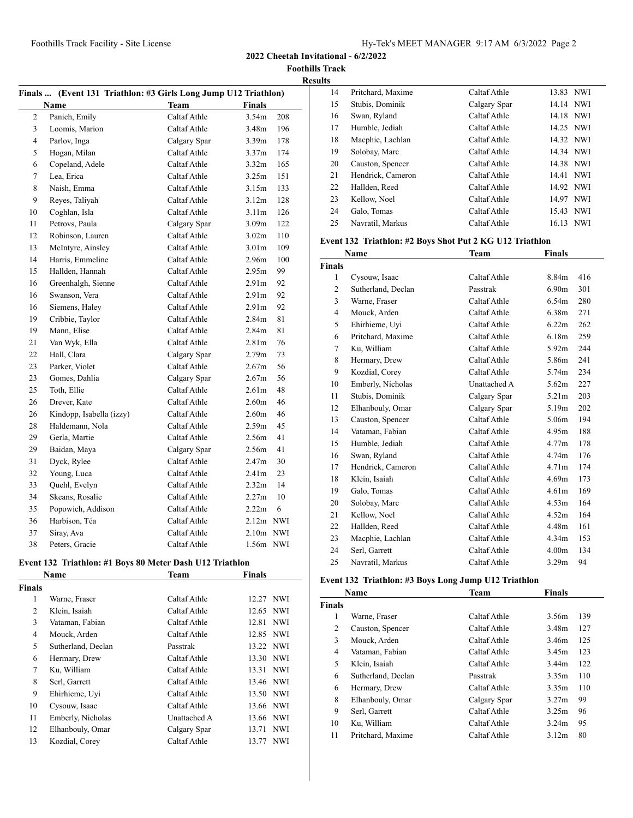**2022 Cheetah Invitational - 6/2/2022**

**Foothills Track Results**

|                | Finals  (Event 131 Triathlon: #3 Girls Long Jump U12 Triathlon) |              |                   |            |
|----------------|-----------------------------------------------------------------|--------------|-------------------|------------|
|                | <b>Name</b>                                                     | Team         | Finals            |            |
| $\overline{c}$ | Panich, Emily                                                   | Caltaf Athle | 3.54 <sub>m</sub> | 208        |
| $\overline{3}$ | Loomis, Marion                                                  | Caltaf Athle | 3.48 <sub>m</sub> | 196        |
| $\overline{4}$ | Parlov, Inga                                                    | Calgary Spar | 3.39 <sub>m</sub> | 178        |
| 5              | Hogan, Milan                                                    | Caltaf Athle | 3.37 <sub>m</sub> | 174        |
| 6              | Copeland, Adele                                                 | Caltaf Athle | 3.32 <sub>m</sub> | 165        |
| 7              | Lea, Erica                                                      | Caltaf Athle | 3.25m             | 151        |
| 8              | Naish, Emma                                                     | Caltaf Athle | 3.15m             | 133        |
| 9              | Reyes, Taliyah                                                  | Caltaf Athle | 3.12 <sub>m</sub> | 128        |
| 10             | Coghlan, Isla                                                   | Caltaf Athle | 3.11 <sub>m</sub> | 126        |
| 11             | Petrovs, Paula                                                  | Calgary Spar | 3.09 <sub>m</sub> | 122        |
| 12             | Robinson, Lauren                                                | Caltaf Athle | 3.02 <sub>m</sub> | 110        |
| 13             | McIntyre, Ainsley                                               | Caltaf Athle | 3.01 <sub>m</sub> | 109        |
| 14             | Harris, Emmeline                                                | Caltaf Athle | 2.96m             | 100        |
| 15             | Hallden, Hannah                                                 | Caltaf Athle | 2.95m             | 99         |
| 16             | Greenhalgh, Sienne                                              | Caltaf Athle | 2.91 <sub>m</sub> | 92         |
| 16             | Swanson, Vera                                                   | Caltaf Athle | 2.91m             | 92         |
| 16             | Siemens, Haley                                                  | Caltaf Athle | 2.91 <sub>m</sub> | 92         |
| 19             | Cribbie, Taylor                                                 | Caltaf Athle | 2.84 <sub>m</sub> | 81         |
| 19             | Mann, Elise                                                     | Caltaf Athle | 2.84 <sub>m</sub> | 81         |
| 21             | Van Wyk, Ella                                                   | Caltaf Athle | 2.81 <sub>m</sub> | 76         |
| 22             | Hall, Clara                                                     | Calgary Spar | 2.79 <sub>m</sub> | 73         |
| 23             | Parker, Violet                                                  | Caltaf Athle | 2.67m             | 56         |
| 23             | Gomes, Dahlia                                                   | Calgary Spar | 2.67 <sub>m</sub> | 56         |
| 25             | Toth, Ellie                                                     | Caltaf Athle | 2.61 <sub>m</sub> | 48         |
| 26             | Drever, Kate                                                    | Caltaf Athle | 2.60 <sub>m</sub> | 46         |
| 26             | Kindopp, Isabella (izzy)                                        | Caltaf Athle | 2.60 <sub>m</sub> | 46         |
| 28             | Haldemann, Nola                                                 | Caltaf Athle | 2.59 <sub>m</sub> | 45         |
| 29             | Gerla, Martie                                                   | Caltaf Athle | 2.56m             | 41         |
| 29             | Baidan, Maya                                                    | Calgary Spar | 2.56m             | 41         |
| 31             | Dyck, Rylee                                                     | Caltaf Athle | 2.47 <sub>m</sub> | 30         |
| 32             | Young, Luca                                                     | Caltaf Athle | 2.41 <sub>m</sub> | 23         |
| 33             | Quehl, Evelyn                                                   | Caltaf Athle | 2.32 <sub>m</sub> | 14         |
| 34             | Skeans, Rosalie                                                 | Caltaf Athle | 2.27m             | 10         |
| 35             | Popowich, Addison                                               | Caltaf Athle | 2.22m             | 6          |
| 36             | Harbison, Téa                                                   | Caltaf Athle | $2.12m$ NWI       |            |
| 37             | Siray, Ava                                                      | Caltaf Athle | 2.10m NWI         |            |
| 38             | Peters, Gracie                                                  | Caltaf Athle | 1.56m             | <b>NWI</b> |

# **Event 132 Triathlon: #1 Boys 80 Meter Dash U12 Triathlon**

|               | Name               | Team         | <b>Finals</b> |
|---------------|--------------------|--------------|---------------|
| <b>Finals</b> |                    |              |               |
| 1             | Warne, Fraser      | Caltaf Athle | 12.27 NWI     |
| 2             | Klein, Isaiah      | Caltaf Athle | 12.65 NWI     |
| 3             | Vataman, Fabian    | Caltaf Athle | 12.81 NWI     |
| 4             | Mouck, Arden       | Caltaf Athle | 12.85 NWI     |
| 5             | Sutherland, Declan | Passtrak     | 13.22 NWI     |
| 6             | Hermary, Drew      | Caltaf Athle | 13.30 NWI     |
| 7             | Ku, William        | Caltaf Athle | 13.31 NWI     |
| 8             | Serl, Garrett      | Caltaf Athle | 13.46 NWI     |
| 9             | Ehirhieme, Uyi     | Caltaf Athle | 13.50 NWI     |
| 10            | Cysouw, Isaac      | Caltaf Athle | 13.66 NWI     |
| 11            | Emberly, Nicholas  | Unattached A | 13.66 NWI     |
| 12            | Elhanbouly, Omar   | Calgary Spar | NWI<br>13.71  |
| 13            | Kozdial, Corey     | Caltaf Athle | 13.77 NWI     |

| ີ |    |                   |              |           |     |
|---|----|-------------------|--------------|-----------|-----|
|   | 14 | Pritchard, Maxime | Caltaf Athle | 13.83 NWI |     |
|   | 15 | Stubis, Dominik   | Calgary Spar | 14.14 NWI |     |
|   | 16 | Swan, Ryland      | Caltaf Athle | 14.18 NWI |     |
|   | 17 | Humble, Jediah    | Caltaf Athle | 14.25 NWI |     |
|   | 18 | Macphie, Lachlan  | Caltaf Athle | 14.32 NWI |     |
|   | 19 | Solobay, Marc     | Caltaf Athle | 14.34 NWI |     |
|   | 20 | Causton, Spencer  | Caltaf Athle | 14.38 NWI |     |
|   | 21 | Hendrick, Cameron | Caltaf Athle | 14.41 NWI |     |
|   | 22 | Hallden, Reed     | Caltaf Athle | 14.92 NWI |     |
|   | 23 | Kellow, Noel      | Caltaf Athle | 14.97     | NWI |
|   | 24 | Galo, Tomas       | Caltaf Athle | 15.43 NWI |     |
|   | 25 | Navratil, Markus  | Caltaf Athle | 16.13 NWI |     |
|   |    |                   |              |           |     |

## **Event 132 Triathlon: #2 Boys Shot Put 2 KG U12 Triathlon**

|                | <b>Name</b>        | Team         | Finals            |     |
|----------------|--------------------|--------------|-------------------|-----|
| <b>Finals</b>  |                    |              |                   |     |
| 1              | Cysouw, Isaac      | Caltaf Athle | 8.84m             | 416 |
| 2              | Sutherland, Declan | Passtrak     | 6.90 <sub>m</sub> | 301 |
| 3              | Warne, Fraser      | Caltaf Athle | 6.54m             | 280 |
| $\overline{4}$ | Mouck, Arden       | Caltaf Athle | 6.38 <sub>m</sub> | 271 |
| 5              | Ehirhieme, Uvi     | Caltaf Athle | 6.22m             | 262 |
| 6              | Pritchard, Maxime  | Caltaf Athle | 6.18m             | 259 |
| 7              | Ku, William        | Caltaf Athle | 5.92 <sub>m</sub> | 244 |
| 8              | Hermary, Drew      | Caltaf Athle | 5.86m             | 241 |
| 9              | Kozdial, Corey     | Caltaf Athle | 5.74m             | 234 |
| 10             | Emberly, Nicholas  | Unattached A | 5.62m             | 227 |
| 11             | Stubis, Dominik    | Calgary Spar | 5.21 <sub>m</sub> | 203 |
| 12             | Elhanbouly, Omar   | Calgary Spar | 5.19m             | 202 |
| 13             | Causton, Spencer   | Caltaf Athle | 5.06m             | 194 |
| 14             | Vataman, Fabian    | Caltaf Athle | 4.95m             | 188 |
| 15             | Humble, Jediah     | Caltaf Athle | 4.77m             | 178 |
| 16             | Swan, Ryland       | Caltaf Athle | 4.74 <sub>m</sub> | 176 |
| 17             | Hendrick, Cameron  | Caltaf Athle | 4.71 <sub>m</sub> | 174 |
| 18             | Klein, Isaiah      | Caltaf Athle | 4.69m             | 173 |
| 19             | Galo, Tomas        | Caltaf Athle | 4.61 <sub>m</sub> | 169 |
| 20             | Solobay, Marc      | Caltaf Athle | 4.53m             | 164 |
| 21             | Kellow, Noel       | Caltaf Athle | 4.52m             | 164 |
| 22             | Hallden, Reed      | Caltaf Athle | 4.48m             | 161 |
| 23             | Macphie, Lachlan   | Caltaf Athle | 4.34 <sub>m</sub> | 153 |
| 24             | Serl, Garrett      | Caltaf Athle | 4.00 <sub>m</sub> | 134 |
| 25             | Navratil, Markus   | Caltaf Athle | 3.29 <sub>m</sub> | 94  |

## **Event 132 Triathlon: #3 Boys Long Jump U12 Triathlon**

|               | Name               | Team         | <b>Finals</b>     |     |
|---------------|--------------------|--------------|-------------------|-----|
| <b>Finals</b> |                    |              |                   |     |
| 1             | Warne, Fraser      | Caltaf Athle | 3.56m             | 139 |
| 2             | Causton, Spencer   | Caltaf Athle | 3.48m             | 127 |
| 3             | Mouck, Arden       | Caltaf Athle | 3.46m             | 125 |
| 4             | Vataman, Fabian    | Caltaf Athle | 3.45m             | 123 |
| 5             | Klein, Isaiah      | Caltaf Athle | 3.44m             | 122 |
| 6             | Sutherland, Declan | Passtrak     | 3.35 <sub>m</sub> | 110 |
| 6             | Hermary, Drew      | Caltaf Athle | 3.35 <sub>m</sub> | 110 |
| 8             | Elhanbouly, Omar   | Calgary Spar | 3.27 <sub>m</sub> | 99  |
| 9             | Serl, Garrett      | Caltaf Athle | 3.25m             | 96  |
| 10            | Ku, William        | Caltaf Athle | 3.24 <sub>m</sub> | 95  |
| 11            | Pritchard, Maxime  | Caltaf Athle | 3.12 <sub>m</sub> | 80  |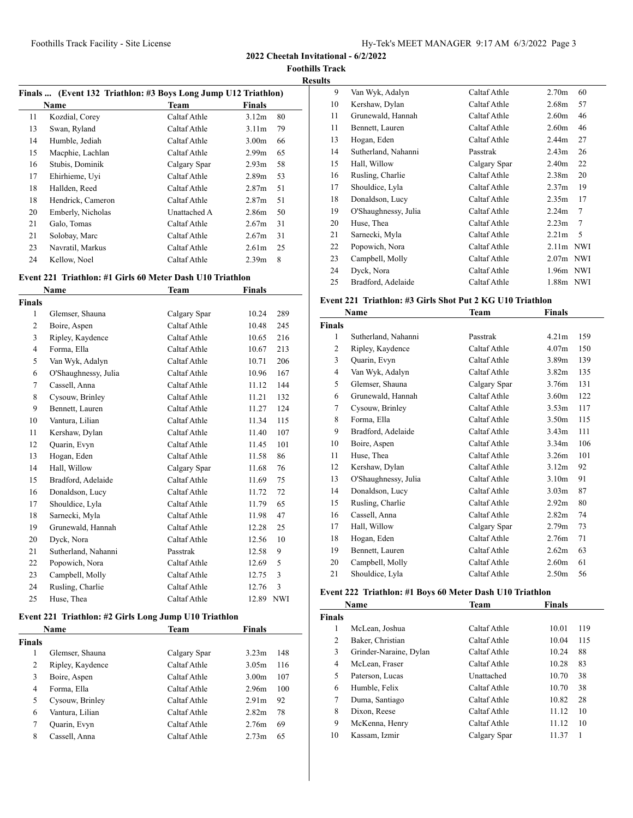**2022 Cheetah Invitational - 6/2/2022**

**Foothills Track**

**Results Finals ... (Event 132 Triathlon: #3 Boys Long Jump U12 Triathlon) Name Team Finals**  Kozdial, Corey Caltaf Athle 3.12m 80 Swan, Ryland Caltaf Athle 3.11m 79 Humble, Jediah Caltaf Athle 3.00m 66 Macphie, Lachlan Caltaf Athle 2.99m 65 Stubis, Dominik Calgary Spar 2.93m 58 Ehirhieme, Uyi Caltaf Athle 2.89m 53 Hallden, Reed Caltaf Athle 2.87m 51 Hendrick, Cameron Caltaf Athle 2.87m 51 Emberly, Nicholas Unattached A 2.86m 50 21 Galo, Tomas Caltaf Athle 2.67m 31 21 Solobay, Marc Caltaf Athle 2.67m 31 Navratil, Markus Caltaf Athle 2.61m 25 24 Kellow, Noel Caltaf Athle 2.39m 8

#### **Event 221 Triathlon: #1 Girls 60 Meter Dash U10 Triathlon**

|                | <b>Name</b>          | Team         | <b>Finals</b> |            |
|----------------|----------------------|--------------|---------------|------------|
| <b>Finals</b>  |                      |              |               |            |
| 1              | Glemser, Shauna      | Calgary Spar | 10.24         | 289        |
| 2              | Boire, Aspen         | Caltaf Athle | 10.48         | 245        |
| 3              | Ripley, Kaydence     | Caltaf Athle | 10.65         | 216        |
| $\overline{4}$ | Forma, Ella          | Caltaf Athle | 10.67         | 213        |
| 5              | Van Wyk, Adalyn      | Caltaf Athle | 10.71         | 206        |
| 6              | O'Shaughnessy, Julia | Caltaf Athle | 10.96         | 167        |
| 7              | Cassell, Anna        | Caltaf Athle | 11.12         | 144        |
| 8              | Cysouw, Brinley      | Caltaf Athle | 11.21         | 132        |
| 9              | Bennett, Lauren      | Caltaf Athle | 11.27         | 124        |
| 10             | Vantura, Lilian      | Caltaf Athle | 11.34         | 115        |
| 11             | Kershaw, Dylan       | Caltaf Athle | 11.40         | 107        |
| 12             | Quarin, Evyn         | Caltaf Athle | 11.45         | 101        |
| 13             | Hogan, Eden          | Caltaf Athle | 11.58         | 86         |
| 14             | Hall, Willow         | Calgary Spar | 11.68         | 76         |
| 15             | Bradford, Adelaide   | Caltaf Athle | 11.69         | 75         |
| 16             | Donaldson, Lucy      | Caltaf Athle | 11.72         | 72         |
| 17             | Shouldice, Lyla      | Caltaf Athle | 11.79         | 65         |
| 18             | Sarnecki, Myla       | Caltaf Athle | 11.98         | 47         |
| 19             | Grunewald, Hannah    | Caltaf Athle | 12.28         | 25         |
| 20             | Dyck, Nora           | Caltaf Athle | 12.56         | 10         |
| 21             | Sutherland, Nahanni  | Passtrak     | 12.58         | 9          |
| 22             | Popowich, Nora       | Caltaf Athle | 12.69         | 5          |
| 23             | Campbell, Molly      | Caltaf Athle | 12.75         | 3          |
| 24             | Rusling, Charlie     | Caltaf Athle | 12.76         | 3          |
| 25             | Huse, Thea           | Caltaf Athle | 12.89         | <b>NWI</b> |

## **Event 221 Triathlon: #2 Girls Long Jump U10 Triathlon**

|        | <b>Name</b>      | Team         | <b>Finals</b>     |     |
|--------|------------------|--------------|-------------------|-----|
| Finals |                  |              |                   |     |
| 1      | Glemser, Shauna  | Calgary Spar | 3.23m             | 148 |
| 2      | Ripley, Kaydence | Caltaf Athle | 3.05m             | 116 |
| 3      | Boire, Aspen     | Caltaf Athle | 3.00 <sub>m</sub> | 107 |
| 4      | Forma, Ella      | Caltaf Athle | 2.96m             | 100 |
| 5      | Cysouw, Brinley  | Caltaf Athle | 2.91 <sub>m</sub> | 92  |
| 6      | Vantura, Lilian  | Caltaf Athle | 2.82 <sub>m</sub> | 78  |
| 7      | Quarin, Evyn     | Caltaf Athle | 2.76m             | 69  |
| 8      | Cassell, Anna    | Caltaf Athle | 2.73m             | 65  |

| ᅜ  |                      |              |                   |    |
|----|----------------------|--------------|-------------------|----|
| 9  | Van Wyk, Adalyn      | Caltaf Athle | 2.70 <sub>m</sub> | 60 |
| 10 | Kershaw, Dylan       | Caltaf Athle | 2.68 <sub>m</sub> | 57 |
| 11 | Grunewald, Hannah    | Caltaf Athle | 2.60 <sub>m</sub> | 46 |
| 11 | Bennett, Lauren      | Caltaf Athle | 2.60 <sub>m</sub> | 46 |
| 13 | Hogan, Eden          | Caltaf Athle | 2.44 <sub>m</sub> | 27 |
| 14 | Sutherland, Nahanni  | Passtrak     | 2.43 <sub>m</sub> | 26 |
| 15 | Hall, Willow         | Calgary Spar | 2.40 <sub>m</sub> | 22 |
| 16 | Rusling, Charlie     | Caltaf Athle | 2.38 <sub>m</sub> | 20 |
| 17 | Shouldice, Lyla      | Caltaf Athle | 2.37 <sub>m</sub> | 19 |
| 18 | Donaldson, Lucy      | Caltaf Athle | 2.35m             | 17 |
| 19 | O'Shaughnessy, Julia | Caltaf Athle | 2.24 <sub>m</sub> | 7  |
| 20 | Huse, Thea           | Caltaf Athle | 2.23 <sub>m</sub> | 7  |
| 21 | Sarnecki, Myla       | Caltaf Athle | 2.21 <sub>m</sub> | 5  |
| 22 | Popowich, Nora       | Caltaf Athle | $2.11m$ NWI       |    |
| 23 | Campbell, Molly      | Caltaf Athle | $2.07m$ NWI       |    |
| 24 | Dyck, Nora           | Caltaf Athle | $1.96m$ NWI       |    |
| 25 | Bradford, Adelaide   | Caltaf Athle | 1.88m NWI         |    |

#### **Event 221 Triathlon: #3 Girls Shot Put 2 KG U10 Triathlon**

|                | Name                 | Team         | Finals            |     |
|----------------|----------------------|--------------|-------------------|-----|
| <b>Finals</b>  |                      |              |                   |     |
| 1              | Sutherland, Nahanni  | Passtrak     | 4.21m             | 159 |
| $\overline{2}$ | Ripley, Kaydence     | Caltaf Athle | 4.07 <sub>m</sub> | 150 |
| 3              | Quarin, Evyn         | Caltaf Athle | 3.89 <sub>m</sub> | 139 |
| 4              | Van Wyk, Adalyn      | Caltaf Athle | 3.82 <sub>m</sub> | 135 |
| 5              | Glemser, Shauna      | Calgary Spar | 3.76m             | 131 |
| 6              | Grunewald, Hannah    | Caltaf Athle | 3.60 <sub>m</sub> | 122 |
| 7              | Cysouw, Brinley      | Caltaf Athle | 3.53 <sub>m</sub> | 117 |
| 8              | Forma, Ella          | Caltaf Athle | 3.50 <sub>m</sub> | 115 |
| 9              | Bradford, Adelaide   | Caltaf Athle | 3.43 <sub>m</sub> | 111 |
| 10             | Boire, Aspen         | Caltaf Athle | 3.34 <sub>m</sub> | 106 |
| 11             | Huse, Thea           | Caltaf Athle | 3.26m             | 101 |
| 12             | Kershaw, Dylan       | Caltaf Athle | 3.12 <sub>m</sub> | 92  |
| 13             | O'Shaughnessy, Julia | Caltaf Athle | 3.10 <sub>m</sub> | 91  |
| 14             | Donaldson, Lucy      | Caltaf Athle | 3.03 <sub>m</sub> | 87  |
| 15             | Rusling, Charlie     | Caltaf Athle | 2.92 <sub>m</sub> | 80  |
| 16             | Cassell, Anna        | Caltaf Athle | 2.82 <sub>m</sub> | 74  |
| 17             | Hall, Willow         | Calgary Spar | 2.79 <sub>m</sub> | 73  |
| 18             | Hogan, Eden          | Caltaf Athle | 2.76m             | 71  |
| 19             | Bennett, Lauren      | Caltaf Athle | 2.62m             | 63  |
| 20             | Campbell, Molly      | Caltaf Athle | 2.60 <sub>m</sub> | 61  |
| 21             | Shouldice, Lyla      | Caltaf Athle | 2.50 <sub>m</sub> | 56  |

#### **Event 222 Triathlon: #1 Boys 60 Meter Dash U10 Triathlon**

|               | Name                   | Team         | <b>Finals</b> |     |
|---------------|------------------------|--------------|---------------|-----|
| <b>Finals</b> |                        |              |               |     |
| 1             | McLean, Joshua         | Caltaf Athle | 10.01         | 119 |
| 2             | Baker, Christian       | Caltaf Athle | 10.04         | 115 |
| 3             | Grinder-Naraine, Dylan | Caltaf Athle | 10.24         | 88  |
| 4             | McLean, Fraser         | Caltaf Athle | 10.28         | 83  |
| 5             | Paterson, Lucas        | Unattached   | 10.70         | 38  |
| 6             | Humble, Felix          | Caltaf Athle | 10.70         | 38  |
| 7             | Duma, Santiago         | Caltaf Athle | 10.82         | 28  |
| 8             | Dixon, Reese           | Caltaf Athle | 11.12         | 10  |
| 9             | McKenna, Henry         | Caltaf Athle | 11.12         | 10  |
| 10            | Kassam, Izmir          | Calgary Spar | 11.37         |     |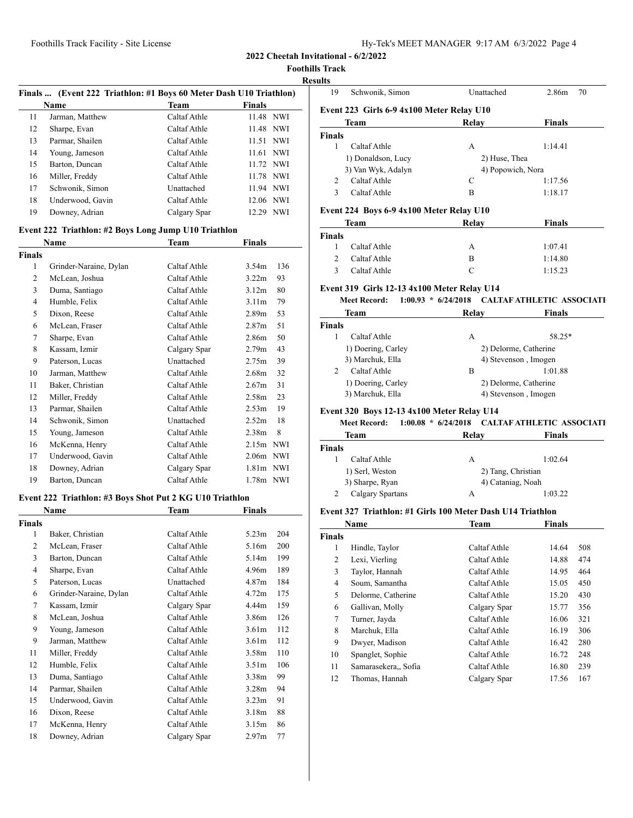**2022 Cheetah Invitational - 6/2/2022**

**Foothills Track**

## **Results**

|    |                  | Finals  (Event 222 Triathlon: #1 Boys 60 Meter Dash U10 Triathlon) |               |            |
|----|------------------|--------------------------------------------------------------------|---------------|------------|
|    | <b>Name</b>      | Team                                                               | <b>Finals</b> |            |
| 11 | Jarman, Matthew  | Caltaf Athle                                                       | 11.48 NWI     |            |
| 12 | Sharpe, Evan     | Caltaf Athle                                                       | 11.48 NWI     |            |
| 13 | Parmar, Shailen  | Caltaf Athle                                                       | 11.51 NWI     |            |
| 14 | Young, Jameson   | Caltaf Athle                                                       | 11.61 NWI     |            |
| 15 | Barton, Duncan   | Caltaf Athle                                                       | 11.72 NWI     |            |
| 16 | Miller, Freddy   | Caltaf Athle                                                       | 11.78 NWI     |            |
| 17 | Schwonik, Simon  | Unattached                                                         | 11.94 NWI     |            |
| 18 | Underwood, Gavin | Caltaf Athle                                                       | 12.06 NWI     |            |
| 19 | Downey, Adrian   | Calgary Spar                                                       | 12.29         | <b>NWI</b> |

## **Event 222 Triathlon: #2 Boys Long Jump U10 Triathlon**

|                | Name                   | Team         | Finals                   |  |
|----------------|------------------------|--------------|--------------------------|--|
| Finals         |                        |              |                          |  |
| 1              | Grinder-Naraine, Dylan | Caltaf Athle | 3.54 <sub>m</sub><br>136 |  |
| $\overline{2}$ | McLean, Joshua         | Caltaf Athle | 3.22 <sub>m</sub><br>93  |  |
| 3              | Duma, Santiago         | Caltaf Athle | 3.12 <sub>m</sub><br>80  |  |
| 4              | Humble, Felix          | Caltaf Athle | 3.11 <sub>m</sub><br>79  |  |
| 5              | Dixon, Reese           | Caltaf Athle | 53<br>2.89 <sub>m</sub>  |  |
| 6              | McLean, Fraser         | Caltaf Athle | 51<br>2.87 <sub>m</sub>  |  |
| 7              | Sharpe, Evan           | Caltaf Athle | 2.86m<br>50              |  |
| 8              | Kassam, Izmir          | Calgary Spar | 2.79 <sub>m</sub><br>43  |  |
| 9              | Paterson, Lucas        | Unattached   | 39<br>2.75m              |  |
| 10             | Jarman, Matthew        | Caltaf Athle | 32<br>2.68 <sub>m</sub>  |  |
| 11             | Baker, Christian       | Caltaf Athle | 2.67 <sub>m</sub><br>31  |  |
| 12             | Miller, Freddy         | Caltaf Athle | 23<br>2.58 <sub>m</sub>  |  |
| 13             | Parmar, Shailen        | Caltaf Athle | 19<br>2.53 <sub>m</sub>  |  |
| 14             | Schwonik, Simon        | Unattached   | 18<br>2.52 <sub>m</sub>  |  |
| 15             | Young, Jameson         | Caltaf Athle | 8<br>2.38 <sub>m</sub>   |  |
| 16             | McKenna, Henry         | Caltaf Athle | 2.15m<br>NWI             |  |
| 17             | Underwood, Gavin       | Caltaf Athle | 2.06m NWI                |  |
| 18             | Downey, Adrian         | Calgary Spar | NWI<br>1.81m             |  |
| 19             | Barton, Duncan         | Caltaf Athle | 1.78m NWI                |  |

#### **Event 222 Triathlon: #3 Boys Shot Put 2 KG U10 Triathlon**

|                | Name                   | Team         | Finals            |     |
|----------------|------------------------|--------------|-------------------|-----|
| <b>Finals</b>  |                        |              |                   |     |
| 1              | Baker, Christian       | Caltaf Athle | 5.23 <sub>m</sub> | 204 |
| $\overline{2}$ | McLean, Fraser         | Caltaf Athle | 5.16m             | 200 |
| 3              | Barton, Duncan         | Caltaf Athle | 5.14m             | 199 |
| 4              | Sharpe, Evan           | Caltaf Athle | 4.96m             | 189 |
| 5              | Paterson, Lucas        | Unattached   | 4.87 <sub>m</sub> | 184 |
| 6              | Grinder-Naraine, Dylan | Caltaf Athle | 4.72m             | 175 |
| 7              | Kassam, Izmir          | Calgary Spar | 4.44m             | 159 |
| 8              | McLean, Joshua         | Caltaf Athle | 3.86m             | 126 |
| 9              | Young, Jameson         | Caltaf Athle | 3.61 <sub>m</sub> | 112 |
| 9              | Jarman, Matthew        | Caltaf Athle | 3.61 <sub>m</sub> | 112 |
| 11             | Miller, Freddy         | Caltaf Athle | 3.58 <sub>m</sub> | 110 |
| 12             | Humble, Felix          | Caltaf Athle | 3.51 <sub>m</sub> | 106 |
| 13             | Duma, Santiago         | Caltaf Athle | 3.38 <sub>m</sub> | 99  |
| 14             | Parmar, Shailen        | Caltaf Athle | 3.28 <sub>m</sub> | 94  |
| 15             | Underwood, Gavin       | Caltaf Athle | 3.23 <sub>m</sub> | 91  |
| 16             | Dixon, Reese           | Caltaf Athle | 3.18 <sub>m</sub> | 88  |
| 17             | McKenna, Henry         | Caltaf Athle | 3.15m             | 86  |
| 18             | Downey, Adrian         | Calgary Spar | 2.97 <sub>m</sub> | 77  |

| 19            | Schwonik, Simon                           | Unattached        | 2.86m<br>70   |
|---------------|-------------------------------------------|-------------------|---------------|
|               | Event 223 Girls 6-9 4x100 Meter Relay U10 |                   |               |
|               | <b>Team</b>                               | Relay             | <b>Finals</b> |
| <b>Finals</b> |                                           |                   |               |
| 1             | Caltaf Athle                              | А                 | 1:14.41       |
|               | 1) Donaldson, Lucy                        | 2) Huse, Thea     |               |
|               | 3) Van Wyk, Adalyn                        | 4) Popowich, Nora |               |
| $\mathcal{L}$ | Caltaf Athle                              | C                 | 1:17.56       |
| 3             | Caltaf Athle                              | B                 | 1:18.17       |
|               | Event 224 Boys 6-9 4x100 Meter Relay U10  |                   |               |
|               | <b>Team</b>                               | Relay             | <b>Finals</b> |
| <b>Finals</b> |                                           |                   |               |
| ı             | Caltaf Athle                              | А                 | 1:07.41       |

# Caltaf Athle C 1:15.23

#### **Event 319 Girls 12-13 4x100 Meter Relay U14 Meet Record: 1:00.93** \*  $6/24/2018$  **CALTAF ATHLETIC ASSOCIATI**

2 Caltaf Athle B 1:14.80

| www.neeu<br>.        | $u = u + v + v$ | California control de la control |  |
|----------------------|-----------------|----------------------------------|--|
| Team                 | Relay           | <b>Finals</b>                    |  |
| Finals               |                 |                                  |  |
| Caltaf Athle         | А               | 58.25*                           |  |
| 1) Doering, Carley   |                 | 2) Delorme, Catherine            |  |
| 3) Marchuk, Ella     |                 | 4) Stevenson, Imogen             |  |
| Caltaf Athle         | В               | 1:01.88                          |  |
| 1) Doering, Carley   |                 | 2) Delorme, Catherine            |  |
| $2)$ Morabulz $E11a$ |                 | 1) Starangon Imagan              |  |

# **Event 320 Boys 12-13 4x100 Meter Relay U14**

#### **Meet Record: 1:00.08** \*  $6/24/2018$  **CALTAF ATHLETIC ASSOCIATI**

3) Marchuk, Ella 4) Stevenson, Imogen

| Team             | Relay              | Finals  |
|------------------|--------------------|---------|
| Finals           |                    |         |
| Caltaf Athle     | А                  | 1:02.64 |
| 1) Serl, Weston  | 2) Tang, Christian |         |
| 3) Sharpe, Ryan  | 4) Cataniag, Noah  |         |
| Calgary Spartans | А                  | 1:03.22 |

# **Event 327 Triathlon: #1 Girls 100 Meter Dash U14 Triathlon**

|               | Name                 | <b>Team</b>  | Finals |     |
|---------------|----------------------|--------------|--------|-----|
| <b>Finals</b> |                      |              |        |     |
| 1             | Hindle, Taylor       | Caltaf Athle | 14.64  | 508 |
| 2             | Lexi, Vierling       | Caltaf Athle | 14.88  | 474 |
| 3             | Taylor, Hannah       | Caltaf Athle | 14.95  | 464 |
| 4             | Soum, Samantha       | Caltaf Athle | 15.05  | 450 |
| 5             | Delorme, Catherine   | Caltaf Athle | 15.20  | 430 |
| 6             | Gallivan, Molly      | Calgary Spar | 15.77  | 356 |
| 7             | Turner, Jayda        | Caltaf Athle | 16.06  | 321 |
| 8             | Marchuk, Ella        | Caltaf Athle | 16.19  | 306 |
| 9             | Dwyer, Madison       | Caltaf Athle | 16.42  | 280 |
| 10            | Spanglet, Sophie     | Caltaf Athle | 16.72  | 248 |
| 11            | Samarasekera,, Sofia | Caltaf Athle | 16.80  | 239 |
| 12            | Thomas, Hannah       | Calgary Spar | 17.56  | 167 |